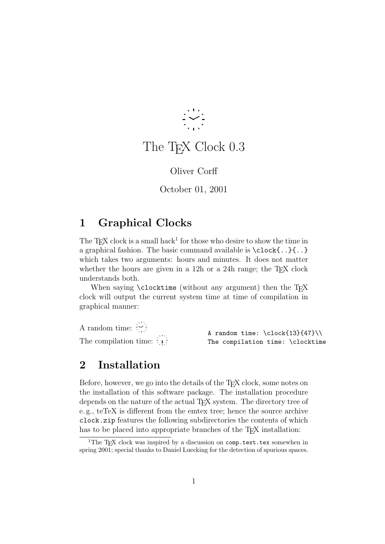

# The T<sub>F</sub>X Clock 0.3

Oliver Corff

October 01, 2001

### 1 Graphical Clocks

The T<sub>E</sub>X clock is a small hack<sup>1</sup> for those who desire to show the time in a graphical fashion. The basic command available is \clock{..}{..} which takes two arguments: hours and minutes. It does not matter whether the hours are given in a 12h or a 24h range; the TEX clock understands both.

When saying \clocktime (without any argument) then the TFX clock will output the current system time at time of compilation in graphical manner:

A random time:  $\frac{1}{\sqrt{2}}$ : The compilation time:  $\begin{matrix}\vdots\\1\end{matrix}$ 

A random time:  $\cdot \cdot \cdot \cdot \cdot \cdot \cdot$ The compilation time: \clocktime

## 2 Installation

Before, however, we go into the details of the T<sub>E</sub>X clock, some notes on the installation of this software package. The installation procedure depends on the nature of the actual T<sub>EX</sub> system. The directory tree of e. g., teTeX is different from the emtex tree; hence the source archive clock.zip features the following subdirectories the contents of which has to be placed into appropriate branches of the T<sub>E</sub>X installation:

<sup>&</sup>lt;sup>1</sup>The T<sub>E</sub>X clock was inspired by a discussion on  $comp.text.text$  somewhen in spring 2001; special thanks to Daniel Luecking for the detection of spurious spaces.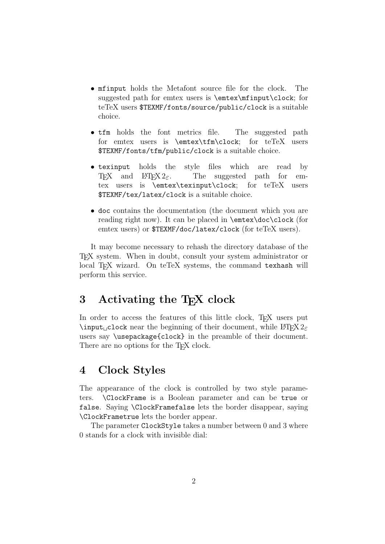- mfinput holds the Metafont source file for the clock. The suggested path for emtex users is \emtex\mfinput\clock; for teTeX users \$TEXMF/fonts/source/public/clock is a suitable choice.
- tfm holds the font metrics file. The suggested path for emtex users is \emtex\tfm\clock; for teTeX users \$TEXMF/fonts/tfm/public/clock is a suitable choice.
- texinput holds the style files which are read by T<sub>EX</sub> and  $\text{MT}_E X 2_{\epsilon}$ . The suggested path for emtex users is \emtex\texinput\clock; for teTeX users \$TEXMF/tex/latex/clock is a suitable choice.
- doc contains the documentation (the document which you are reading right now). It can be placed in \emtex\doc\clock (for emtex users) or \$TEXMF/doc/latex/clock (for teTeX users).

It may become necessary to rehash the directory database of the TEX system. When in doubt, consult your system administrator or local T<sub>E</sub>X wizard. On teTeX systems, the command texhash will perform this service.

### 3 Activating the T<sub>E</sub>X clock

In order to access the features of this little clock, T<sub>EX</sub> users put  $\int$ input clock near the beginning of their document, while  $\langle \text{H}$ FX 2<sub>6</sub> users say \usepackage{clock} in the preamble of their document. There are no options for the T<sub>E</sub>X clock.

### 4 Clock Styles

The appearance of the clock is controlled by two style parameters. \ClockFrame is a Boolean parameter and can be true or false. Saying \ClockFramefalse lets the border disappear, saying \ClockFrametrue lets the border appear.

The parameter ClockStyle takes a number between 0 and 3 where 0 stands for a clock with invisible dial: